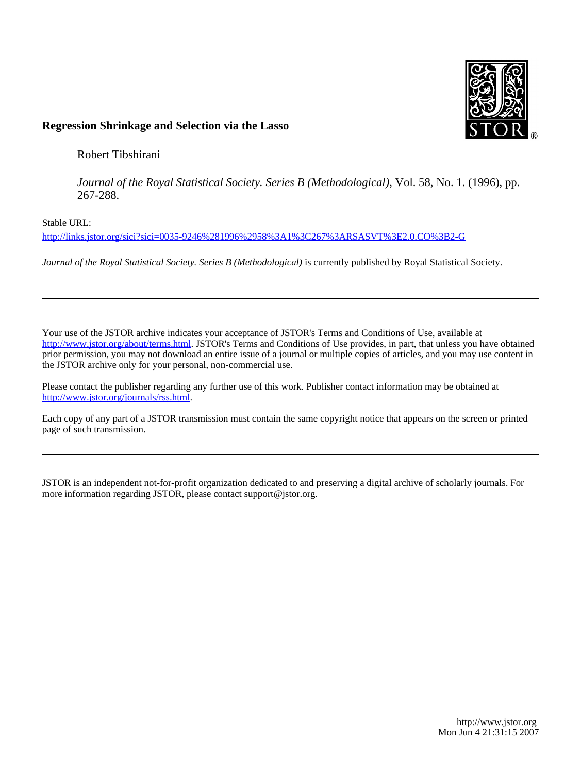

# **Regression Shrinkage and Selection via the Lasso**

Robert Tibshirani

*Journal of the Royal Statistical Society. Series B (Methodological)*, Vol. 58, No. 1. (1996), pp. 267-288.

Stable URL:

<http://links.jstor.org/sici?sici=0035-9246%281996%2958%3A1%3C267%3ARSASVT%3E2.0.CO%3B2-G>

*Journal of the Royal Statistical Society. Series B (Methodological)* is currently published by Royal Statistical Society.

Your use of the JSTOR archive indicates your acceptance of JSTOR's Terms and Conditions of Use, available at [http://www.jstor.org/about/terms.html.](http://www.jstor.org/about/terms.html) JSTOR's Terms and Conditions of Use provides, in part, that unless you have obtained prior permission, you may not download an entire issue of a journal or multiple copies of articles, and you may use content in the JSTOR archive only for your personal, non-commercial use.

Please contact the publisher regarding any further use of this work. Publisher contact information may be obtained at [http://www.jstor.org/journals/rss.html.](http://www.jstor.org/journals/rss.html)

Each copy of any part of a JSTOR transmission must contain the same copyright notice that appears on the screen or printed page of such transmission.

JSTOR is an independent not-for-profit organization dedicated to and preserving a digital archive of scholarly journals. For more information regarding JSTOR, please contact support@jstor.org.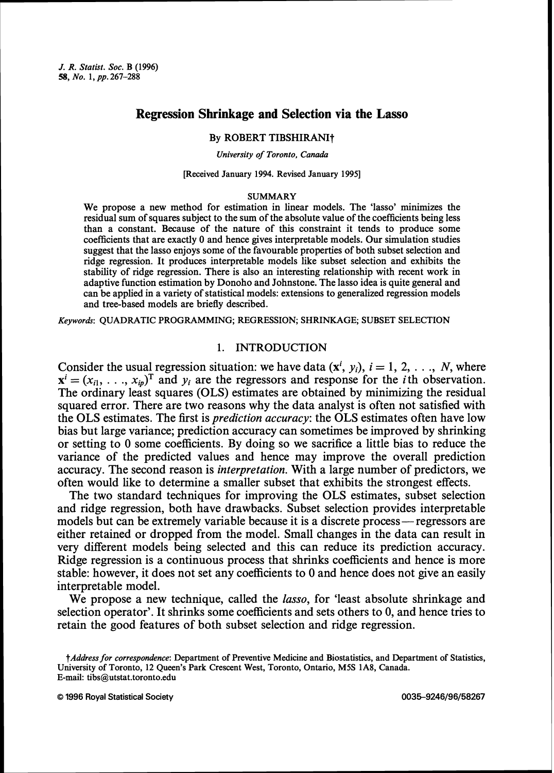# **Regression Shrinkage and Selection via the Lasso**

#### By ROBERT TIBSHIRANIt

#### *University of Toronto, Canada*

#### [Received January 1994. Revised January 19951

#### SUMMARY

We propose a new method for estimation in linear models. The 'lasso' minimizes the residual sum of squares subject to the sum of the absolute value of the coefficients being less than a constant. Because of the nature of this constraint it tends to produce some coefficients that are exactly **0** and hence gives interpretable models. Our simulation studies suggest that the lasso enjoys some of the favourable properties of both subset selection and ridge regression. It produces interpretable models like subset selection and exhibits the stability of ridge regression. There is also an interesting relationship with recent work in adaptive function estimation by Donoho and Johnstone. The lasso idea is quite general and can be applied in a variety of statistical models: extensions to generalized regression models and tree-based models are briefly described.

*Keywords:* QUADRATIC PROGRAMMING; REGRESSION, SHRINKAGE; SUBSET SELECTION

# 1. INTRODUCTION

Consider the usual regression situation: we have data  $(x^i, y_i)$ ,  $i = 1, 2, \ldots, N$ , where  $\mathbf{x}^i = (x_{i1}, \ldots, x_{in})^\text{T}$  and  $y_i$  are the regressors and response for the *i*th observation. The ordinary least squares (OLS) estimates are obtained by minimizing the residual squared error. There are two reasons why the data analyst is often not satisfied with the OLS estimates. The first is prediction accuracy: the OLS estimates often have low bias but large variance; prediction accuracy can sometimes be improved by shrinking or setting to 0 some coefficients. By doing so we sacrifice a little bias to reduce the variance of the predicted values and hence may improve the overall prediction accuracy. The second reason is interpretation. With a large number of predictors, we often would like to determine a smaller subset that exhibits the strongest effects.

The two standard techniques for improving the OLS estimates, subset selection and ridge regression, both have drawbacks. Subset selection provides interpretable models but can be extremely variable because it is a discrete process— regressors are either retained or dropped from the model. Small changes in the data can result in very different models being selected and this can reduce its prediction accuracy. Ridge regression is a continuous process that shrinks coefficients and hence is more stable: however, it does not set any coefficients to 0 and hence does not give an easily interpretable model.

We propose a new technique, called the *lasso*, for 'least absolute shrinkage and selection operator'. It shrinks some coefficients and sets others to 0, and hence tries to retain the good features of both subset selection and ridge regression.

*tAddress for correspondence:* Department of Preventive Medicine and Biostatistics, and Department of Statistics, University of Toronto, 12 Queen's Park Crescent West, Toronto, Ontario, M5S 1A8, Canada. E-mail: tibs@utstat.toronto.edu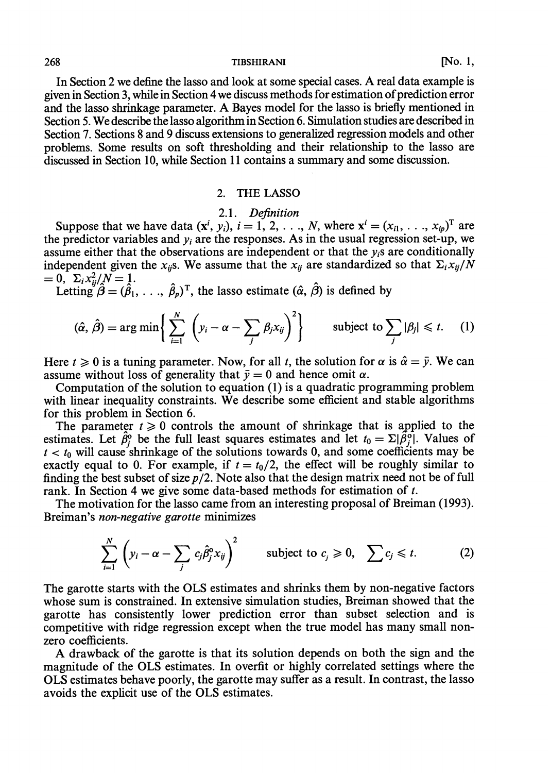In Section 2 we define the lasso and look at some special cases. A real data example is given in Section **3,** while in Section 4 we discuss methods for estimation of prediction error and the lasso shrinkage parameter. A Bayes model for the lasso is briefly mentioned in Section 5. We describe the lasso algorithm in Section 6. Simulation studies are described in Section 7. Sections 8 and 9 discuss extensions to generalized regression models and other problems. Some results on soft thresholding and their relationship to the lasso are discussed in Section 10, while Section 11 contains a summary and some discussion.

#### 2. THE **LASSO**

#### 2.1. Definition

Suppose that we have data  $(x^i, y_i)$ ,  $i = 1, 2, \ldots, N$ , where  $x^i = (x_{i1}, \ldots, x_{ip})^T$  are the predictor variables and  $y_i$  are the responses. As in the usual regression set-up, we assume either that the observations are independent or that the  $y_i$ s are conditionally independent given the  $x_{ij}$ s. We assume that the  $x_{ij}$  are standardized so that  $\sum_i x_{ij}/N$ <br>= 0,  $\sum_i x_{ii}^2/N$  = 1.

Letting  $\hat{\beta} = (\hat{\beta}_1, \ldots, \hat{\beta}_n)^T$ , the lasso estimate  $(\hat{\alpha}, \hat{\beta})$  is defined by

$$
(\hat{\alpha}, \hat{\beta}) = \arg \min \left\{ \sum_{i=1}^{N} \left( y_i - \alpha - \sum_{j} \beta_j x_{ij} \right)^2 \right\} \qquad \text{subject to } \sum_{j} |\beta_j| \leq t. \tag{1}
$$

Here  $t \ge 0$  is a tuning parameter. Now, for all t, the solution for  $\alpha$  is  $\hat{\alpha} = \bar{y}$ . We can assume without loss of generality that  $\bar{v} = 0$  and hence omit  $\alpha$ .

Computation of the solution to equation (1) is a quadratic programming problem with linear inequality constraints. We describe some efficient and stable algorithms for this problem in Section 6.

The parameter  $t \geq 0$  controls the amount of shrinkage that is applied to the estimates. Let  $\hat{\beta}^{\circ}$  be the full least squares estimates and let  $t_0 = \Sigma |\hat{\beta}^{\circ}|$ . Values of  $t < t_0$  will cause shrinkage of the solutions towards 0, and some coefficients may be exactly equal to 0. For example, if  $t = t_0/2$ , the effect will be roughly similar to finding the best subset of size  $p/2$ . Note also that the design matrix need not be of full rank. In Section 4 we give some data-based methods for estimation of t.

The motivation for the lasso came from an interesting proposal of Breiman (1993). Breiman's non-negative garotte minimizes

$$
\sum_{i=1}^{N} \left( y_i - \alpha - \sum_j c_j \hat{\beta}_j^{\circ} x_{ij} \right)^2 \qquad \text{subject to } c_j \geq 0, \quad \sum c_j \leq t. \tag{2}
$$

The garotte starts with the OLS estimates and shrinks them by non-negative factors whose sum is constrained. In extensive simulation studies, Breiman showed that the garotte has consistently lower prediction error than subset selection and is competitive with ridge regression except when the true model has many small nonzero coefficients.

**A** drawback of the garotte is that its solution depends on both the sign and the magnitude of the OLS estimates. In overfit or highly correlated settings where the OLS estimates behave poorly, the garotte may suffer as a result. In contrast, the lasso avoids the explicit use of the OLS estimates.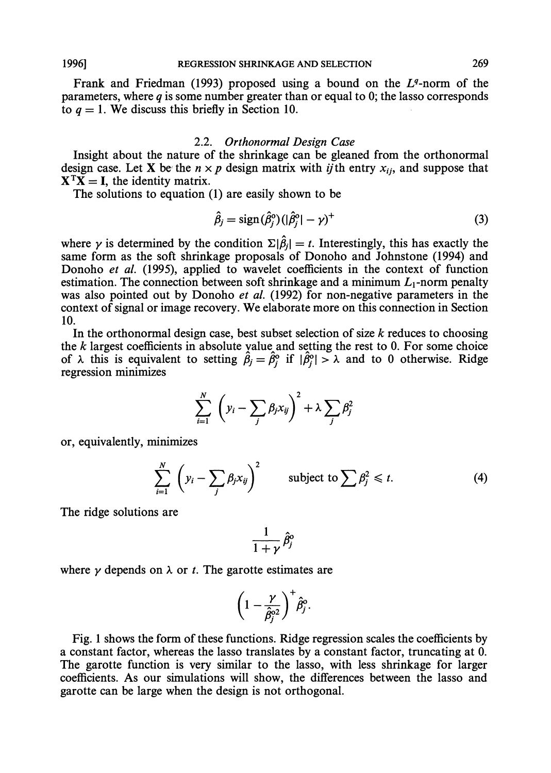Frank and Friedman (1993) proposed using a bound on the  $L<sup>q</sup>$ -norm of the parameters, where  $q$  is some number greater than or equal to 0; the lasso corresponds to  $q = 1$ . We discuss this briefly in Section 10.

# 2.2. *Orthonormal Design Case*

Insight about the nature of the shrinkage can be gleaned from the orthonormal design case. Let X be the  $n \times p$  design matrix with *ij*th entry  $x_{ij}$ , and suppose that  $X^TX = I$ , the identity matrix.

The solutions to equation (1) are easily shown to be

$$
\hat{\beta}_j = \text{sign}(\hat{\beta}_j^{\circ}) (|\hat{\beta}_j^{\circ}| - \gamma)^{+}
$$
\n(3)

where  $\gamma$  is determined by the condition  $\Sigma|\hat{\beta}_j| = t$ . Interestingly, this has exactly the same form as the soft shrinkage proposals of Donoho and Johnstone (1994) and Donoho *et al.* (1995), applied to wavelet coefficients in the context of function estimation. The connection between soft shrinkage and a minimum  $L_1$ -norm penalty was also pointed out by Donoho *et al.* (1992) for non-negative parameters in the context of signal or image recovery. We elaborate more on this connection in Section 10.

In the orthonormal design case, best subset selection of size  $k$  reduces to choosing the  $k$  largest coefficients in absolute value and setting the rest to 0. For some choice of  $\lambda$  this is equivalent to setting  $\hat{\beta}_j = \hat{\beta}_j^{\circ}$  if  $|\hat{\beta}_j^{\circ}| > \lambda$  and to 0 otherwise. Ridge regression minimizes

$$
\sum_{i=1}^N \left( y_i - \sum_j \beta_j x_{ij} \right)^2 + \lambda \sum_j \beta_j^2
$$

or, equivalently, minimizes

$$
\sum_{i=1}^{N} \left( y_i - \sum_{j} \beta_j x_{ij} \right)^2 \qquad \text{subject to } \sum \beta_j^2 \leq t. \tag{4}
$$

The ridge solutions are

$$
\frac{1}{1+\gamma}\,\hat{\beta}_j^{\mathrm{o}}
$$

where  $\gamma$  depends on  $\lambda$  or *t*. The garotte estimates are

$$
\left(1-\frac{\gamma}{\hat{\beta}_j^{\circ 2}}\right)^+\hat{\beta}_j^{\circ}.
$$

Fig. 1 shows the form of these functions. Ridge regression scales the coefficients by a constant factor, whereas the lasso translates by a constant factor, truncating at 0. The garotte function is very similar to the lasso, with less shrinkage for larger coefficients. As our simulations will show, the differences between the lasso and garotte can be large when the design is not orthogonal.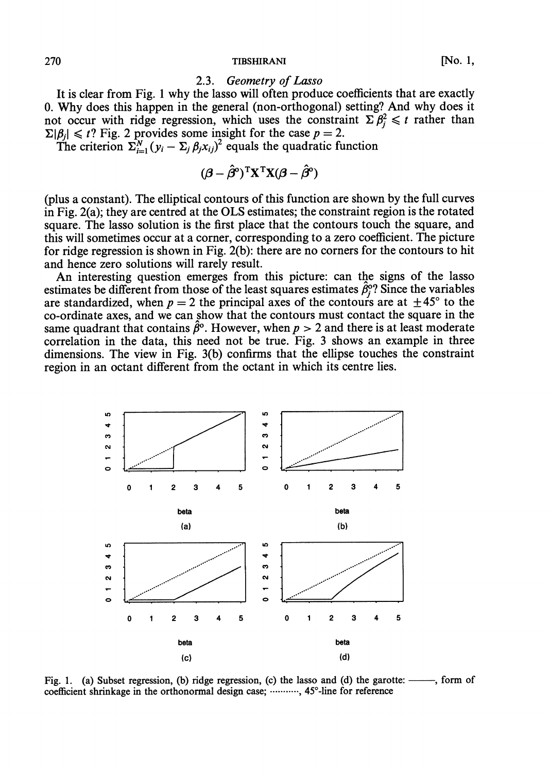#### 2.3. Geometry of Lasso

It is clear from Fig. 1 why the lasso will often produce coefficients that are exactly 0. Why does this happen in the general (non-orthogonal) setting? And why does it not occur with ridge regression, which uses the constraint  $\sum \beta_j^2 \leq t$  rather than  $\Sigma|\beta_j| \le t$ ? Fig. 2 provides some insight for the case  $p = 2$ .<br>The criterion  $\Sigma_{i=1}^N (y_i - \Sigma_j \beta_j x_{ij})^2$  equals the quadratic function

$$
(\boldsymbol{\beta} - \hat{\boldsymbol{\beta}}^{\mathrm{o}})^{\mathrm{T}} \mathbf{X}^{\mathrm{T}} \mathbf{X} (\boldsymbol{\beta} - \hat{\boldsymbol{\beta}}^{\mathrm{o}})
$$

(plus a constant). The elliptical contours of this function are shown by the full curves in Fig. 2(a); they are centred at the OLS estimates; the constraint region is the rotated square. The lasso solution is the first place that the contours touch the square, and this will sometimes occur at a corner, corresponding to a zero coefficient. The picture for ridge regression is shown in Fig. 2(b): there are no corners for the contours to hit and hence zero solutions will rarely result.

An interesting question emerges from this picture: can tbe signs of the lasso estimates be different from those of the least squares estimates  $\hat{\beta}_j^{\circ}$ ? Since the variables are standardized, when  $p = 2$  the principal axes of the contours are at  $\pm 45^{\circ}$  to the co-ordinate axes, and we can show that the contours must contact the square in the same quadrant that contains  $\hat{\beta}^{\circ}$ . However, when  $p > 2$  and there is at least moderate correlation in the data, this need not be true. Fig. 3 shows an example in three dimensions. The view in Fig. 3(b) confirms that the ellipse touches the constraint region in an octant different from the octant in which its centre lies.



Fig. 1. (a) Subset regression, (b) ridge regression, (c) the lasso and (d) the garotte: ——, form of coefficient shrinkage in the orthonormal design case; ...........,  $45^{\circ}$ -line for reference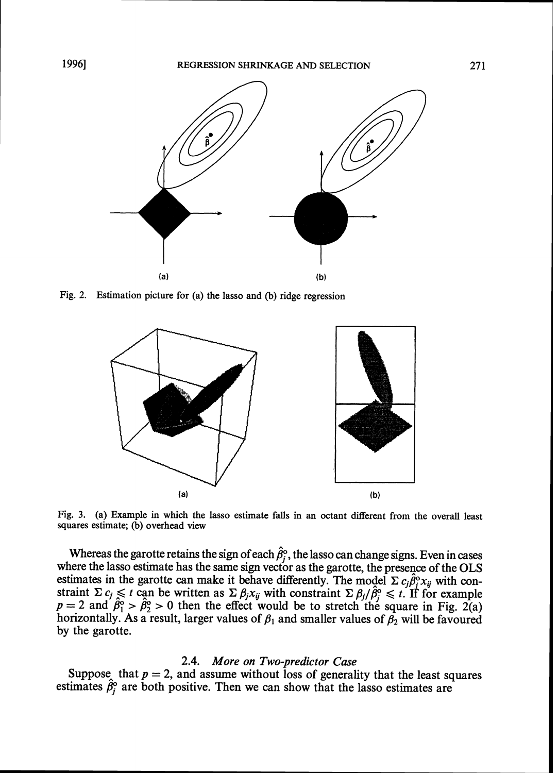

**Fig. 2. Estimation picture for (a) the lasso and (b) ridge regression** 



**Fig. 3. (a) Example in which the lasso estimate falls in an octant different from the overall least squares estimate; (b) overhead view** 

Whereas the garotte retains the sign of each  $\hat{\beta}_j^{\circ}$ , the lasso can change signs. Even in cases where the lasso estimate has the same sign vector as the garotte, the presence of the OLS estimates in the garotte can make it behave differently. The model  $\Sigma c_j \hat{\beta}_i^{\circ} x_{ij}$  with constraint  $\Sigma c_j \leq t$  can be written as  $\Sigma \beta_j x_{ij}$  with constraint  $\Sigma \beta_j / \hat{\beta}_j^0 \leq t$ . If for example  $p = 2$  and  $\hat{\beta}_1^o > \hat{\beta}_2^o > 0$  then the effect would be to stretch the square in Fig. 2(a) horizontally. As a result, larger values of  $\beta_1$  and smaller values of  $\beta_2$  will be favoured by the garotte.

#### 2.4. *More on Two-predictor Case*

Suppose, that  $p = 2$ , and assume without loss of generality that the least squares estimates  $\hat{\beta}_i^o$  are both positive. Then we can show that the lasso estimates are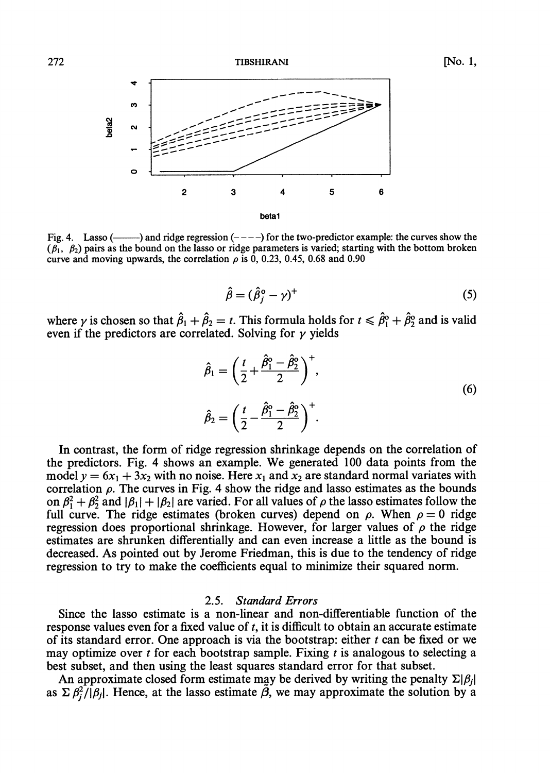

Fig. 4. Lasso (----) and ridge regression  $(- - -)$  for the two-predictor example: the curves show the  $(\hat{\beta}_1, \hat{\beta}_2)$  pairs as the bound on the lasso or ridge parameters is varied; starting with the bottom broken curve and moving upwards, the correlation  $\rho$  is 0, 0.23, 0.45, 0.68 and 0.90

$$
\hat{\beta} = (\hat{\beta}_j^{\circ} - \gamma)^{+} \tag{5}
$$

where  $\gamma$  is chosen so that  $\hat{\beta}_1 + \hat{\beta}_2 = t$ . This formula holds for  $t \leq \hat{\beta}_1^{\circ} + \hat{\beta}_2^{\circ}$  and is valid even if the predictors are correlated. Solving for  $\gamma$  yields

$$
\hat{\beta}_1 = \left(\frac{t}{2} + \frac{\hat{\beta}_1^{\circ} - \hat{\beta}_2^{\circ}}{2}\right)^+, \n\hat{\beta}_2 = \left(\frac{t}{2} - \frac{\hat{\beta}_1^{\circ} - \hat{\beta}_2^{\circ}}{2}\right)^+.
$$
\n(6)

In contrast, the form of ridge regression shrinkage depends on the correlation of the predictors. Fig. 4 shows an example. We generated 100 data points from the model  $y = 6x_1 + 3x_2$  with no noise. Here  $x_1$  and  $x_2$  are standard normal variates with correlation  $\rho$ . The curves in Fig. 4 show the ridge and lasso estimates as the bounds on  $\beta_1^2 + \beta_2^2$  and  $|\beta_1| + |\beta_2|$  are varied. For all values of  $\rho$  the lasso estimates follow the full curve. The ridge estimates (broken curves) depend on  $\rho$ . When  $\rho = 0$  ridge regression does proportional shrinkage. However, for larger values of  $\rho$  the ridge estimates are shrunken differentially and can even increase a little as the bound is decreased. As pointed out by Jerome Friedman, this is due to the tendency of ridge regression to try to make the coefficients equal to minimize their squared norm.

# 2.5. Standard Errors

Since the lasso estimate is a non-linear and non-differentiable function of the response values even for a fixed value of  $t$ , it is difficult to obtain an accurate estimate of its standard error. One approach is via the bootstrap: either  $t$  can be fixed or we may optimize over t for each bootstrap sample. Fixing t is analogous to selecting a best subset, and then using the least squares standard error for that subset.

An approximate closed form estimate may be derived by writing the penalty  $\Sigma|\beta_i|$ as  $\sum \beta_i^2/|\beta_i|$ . Hence, at the lasso estimate  $\tilde{\beta}$ , we may approximate the solution by a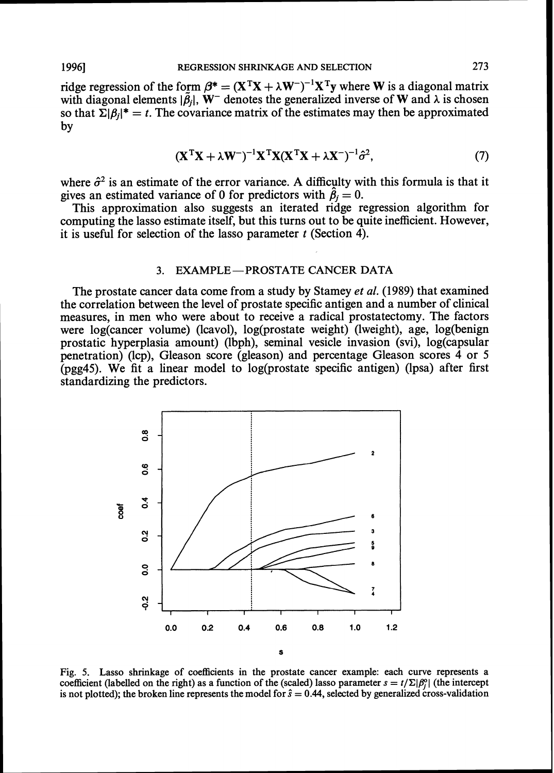ridge regression of the form  $\beta^* = (X^TX + \lambda W^-)^{-1}X^Ty$  where W is a diagonal matrix with diagonal elements  $|\tilde{\beta}_i|$ , W<sup>-</sup> denotes the generalized inverse of W and  $\lambda$  is chosen so that  $\Sigma |\beta_i|^* = t$ . The covariance matrix of the estimates may then be approximated by

$$
(\mathbf{X}^{\mathrm{T}}\mathbf{X} + \lambda \mathbf{W}^{-})^{-1}\mathbf{X}^{\mathrm{T}}\mathbf{X}(\mathbf{X}^{\mathrm{T}}\mathbf{X} + \lambda \mathbf{X}^{-})^{-1}\hat{\sigma}^{2},\tag{7}
$$

where  $\hat{\sigma}^2$  is an estimate of the error variance. A difficulty with this formula is that it gives an estimated variance of 0 for predictors with  $\hat{\beta}_i = 0$ .

This approximation also suggests an iterated ridge regression algorithm for computing the lasso estimate itself, but this turns out to be quite inefficient. However, it is useful for selection of the lasso parameter  $t$  (Section 4).

# 3. EXAMPLE-PROSTATE CANCER DATA

The prostate cancer data come from a study by Stamey *et* al. (1989) that examined the correlation between the level of prostate specific antigen and a number of clinical measures, in men who were about to receive a radical prostatectomy. The factors were  $log(cancer$  volume) (lcavol),  $log(prostate$  weight) (lweight), age, log(benign prostatic hyperplasia amount) (lbph), seminal vesicle invasion (svi), log(capsular penetration) (lcp), Gleason score (gleason) and percentage Gleason scores 4 or 5 (pgg45). We fit a linear model to log(prostate specific antigen) (lpsa) after first standardizing the predictors.



Fig. 5. Lasso shrinkage of coefficients in the prostate cancer example: each curve represents a coefficient (labelled on the right) as a function of the (scaled) lasso parameter  $s = t/\Sigma |\beta_i^{\circ}|$  (the intercept is not plotted); the broken line represents the model for  $\hat{s} = 0.44$ , selected by generalized cross-validation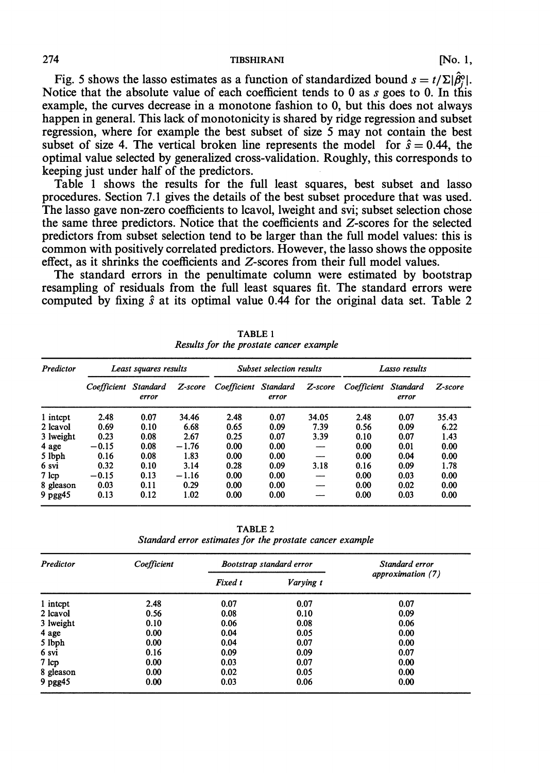274 **TIBSHIRANI** TIBSHIRANI [No. 1,

Fig. 5 shows the lasso estimates as a function of standardized bound  $s = t/\Sigma |\hat{\beta}_j^{\circ}|$ .<br>Notice that the absolute value of each coefficient tends to 0 as *s* goes to 0. In this example, the curves decrease in a monotone fashion to 0, but this does not always happen in general. This lack of monotonicity is shared by ridge regression and subset regression, where for example the best subset of size 5 may not contain the best subset of size 4. The vertical broken line represents the model for  $\hat{s} = 0.44$ , the optimal value selected by generalized cross-validation. Roughly, this corresponds to keeping just under half of the predictors.

Table 1 shows the results for the full least squares, best subset and lasso procedures. Section 7.1 gives the details of the best subset procedure that was used. The lasso gave non-zero coefficients to lcavol, lweight and svi; subset selection chose the same three predictors. Notice that the coefficients and 2-scores for the selected predictors from subset selection tend to be larger than the full model values: this is common with positively correlated predictors. However, the lasso shows the opposite effect, as it shrinks the coefficients and 2-scores from their full model values.

The standard errors in the penultimate column were estimated by bootstrap resampling of residuals from the full least squares fit. The standard errors were computed by fixing  $\hat{s}$  at its optimal value 0.44 for the original data set. Table 2

| <b>Predictor</b> | Least squares results |                          | <b>Subset selection results</b> |                      | Lasso results |         |             |                          |         |
|------------------|-----------------------|--------------------------|---------------------------------|----------------------|---------------|---------|-------------|--------------------------|---------|
|                  | Coefficient           | <b>Standard</b><br>error | Z-score                         | Coefficient Standard | error         | Z-score | Coefficient | <b>Standard</b><br>error | Z-score |
| 1 intept         | 2.48                  | 0.07                     | 34.46                           | 2.48                 | 0.07          | 34.05   | 2.48        | 0.07                     | 35.43   |
| 2 lcavol         | 0.69                  | 0.10                     | 6.68                            | 0.65                 | 0.09          | 7.39    | 0.56        | 0.09                     | 6.22    |
| 3 lweight        | 0.23                  | 0.08                     | 2.67                            | 0.25                 | 0.07          | 3.39    | 0.10        | 0.07                     | 1.43    |
| 4 age            | $-0.15$               | 0.08                     | $-1.76$                         | 0.00                 | 0.00          |         | 0.00        | 0.01                     | 0.00    |
| 5 lbph           | 0.16                  | 0.08                     | 1.83                            | 0.00                 | 0.00          |         | 0.00        | 0.04                     | 0.00    |
| 6 svi            | 0.32                  | 0.10                     | 3.14                            | 0.28                 | 0.09          | 3.18    | 0.16        | 0.09                     | 1.78    |
| $7 \text{ lcp}$  | $-0.15$               | 0.13                     | $-1.16$                         | 0.00                 | 0.00          |         | 0.00        | 0.03                     | 0.00    |
| 8 gleason        | 0.03                  | 0.11                     | 0.29                            | 0.00                 | 0.00          |         | 0.00        | 0.02                     | 0.00    |
| $9$ pgg $45$     | 0.13                  | 0.12                     | 1.02                            | 0.00                 | 0.00          |         | 0.00        | 0.03                     | 0.00    |

TABLE **1**  *Results for the prostate cancer example* 

TABLE 2 *Standard error estimates for the prostate cancer example* 

| Predictor | Coefficient | <b>Bootstrap standard error</b> | Standard error |                   |  |
|-----------|-------------|---------------------------------|----------------|-------------------|--|
|           |             | Fixed t                         | Varying t      | approximation (7) |  |
| 1 intept  | 2.48        | 0.07                            | 0.07           | 0.07              |  |
| 2 lcavol  | 0.56        | 0.08                            | 0.10           | 0.09              |  |
| 3 lweight | 0.10        | 0.06                            | 0.08           | 0.06              |  |
| 4 age     | 0.00        | 0.04                            | 0.05           | 0.00              |  |
| 5 lbph    | 0.00        | 0.04                            | 0.07           | 0.00              |  |
| 6 svi     | 0.16        | 0.09                            | 0.09           | 0.07              |  |
| 7 lcp     | 0.00        | 0.03                            | 0.07           | 0.00              |  |
| 8 gleason | 0.00        | 0.02                            | 0.05           | 0.00              |  |
| 9 pgg45   | 0.00        | 0.03                            | 0.06           | 0.00              |  |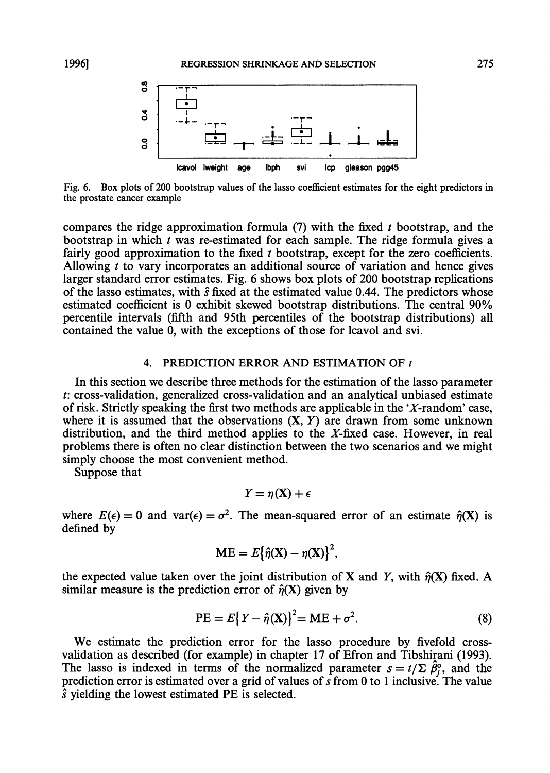

Fig. 6. Box plots of 200 bootstrap values of the lasso coefficient estimates for the eight predictors in the prostate cancer example

compares the ridge approximation formula (7) with the fixed *t* bootstrap, and the bootstrap in which *t* was re-estimated for each sample. The ridge formula gives a fairly good approximation to the fixed *t* bootstrap, except for the zero coefficients. Allowing *t* to vary incorporates an additional source of variation and hence gives larger standard error estimates. Fig. 6 shows box plots of 200 bootstrap replications of the lasso estimates, with  $\hat{s}$  fixed at the estimated value 0.44. The predictors whose estimated coefficient is 0 exhibit skewed bootstrap distributions. The central 90% percentile intervals (fifth and 95th percentiles of the bootstrap distributions) all contained the value 0, with the exceptions of those for lcavol and svi.

#### 4. PREDICTION ERROR AND ESTIMATION OF *t*

In this section we describe three methods for the estimation of the lasso parameter *t:* cross-validation, generalized cross-validation and an analytical unbiased estimate of risk. Strictly speaking the first two methods are applicable in the 'X-random' case, where it is assumed that the observations  $(X, Y)$  are drawn from some unknown distribution, and the third method applies to the  $X$ -fixed case. However, in real problems there is often no clear distinction between the two scenarios and we might simply choose the most convenient method.

Suppose that

$$
Y = \eta(X) + \epsilon
$$

where  $E(\epsilon) = 0$  and  $var(\epsilon) = \sigma^2$ . The mean-squared error of an estimate  $\hat{\eta}(X)$  is defined by

$$
ME = E\{\hat{\eta}(X) - \eta(X)\}^2,
$$

the expected value taken over the joint distribution of X and Y, with  $\hat{\eta}(X)$  fixed. A similar measure is the prediction error of  $\hat{n}(X)$  given by

$$
PE = E\{Y - \hat{\eta}(X)\}^{2} = ME + \sigma^{2}.
$$
 (8)

We estimate the prediction error for the lasso procedure by fivefold crossvalidation as described (for example) in chapter 17 of Efron and Tibshirani (1993). The lasso is indexed in terms of the normalized parameter  $s = t/\Sigma \hat{\beta}_i^0$ , and the prediction error is estimated over a grid of values of  $\overline{s}$  from 0 to 1 inclusive. The value  $\hat{s}$  yielding the lowest estimated PE is selected.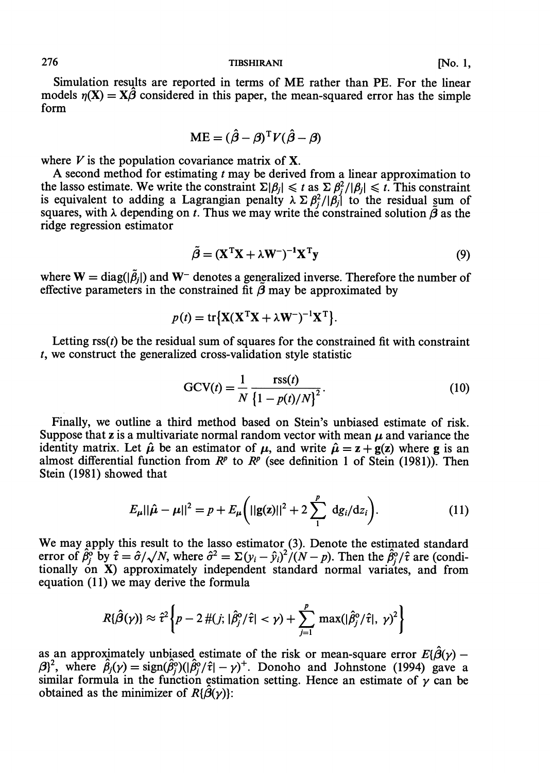Simulation resqlts are reported in terms of ME rather than PE. For the linear models  $n(X) = X\hat{\beta}$  considered in this paper, the mean-squared error has the simple form

$$
ME = (\hat{\beta} - \beta)^{T} V (\hat{\beta} - \beta)
$$

where  $V$  is the population covariance matrix of  $X$ .

**A** second method for estimating t may be derived from a linear approximation to the lasso estimate. We write the constraint  $\Sigma|\beta_j| \leq t$  as  $\Sigma \beta_j^2/|\beta_j| \leq t$ . This constraint is equivalent to adding a Lagrangian penalty  $\lambda \Sigma \beta_i^2/|\beta_j|$  to the residual sum of squares, with  $\lambda$  depending on t. Thus we may write the constrained solution  $\tilde{\beta}$  as the ridge regression estimator

$$
\tilde{\beta} = (\mathbf{X}^{\mathrm{T}} \mathbf{X} + \lambda \mathbf{W}^{-})^{-1} \mathbf{X}^{\mathrm{T}} \mathbf{y}
$$
\n(9)

where  $W = \text{diag}(|\tilde{\beta}_j|)$  and  $W^-$  denotes a generalized inverse. Therefore the number of effective parameters in the constrained fit  $\tilde{\beta}$  may be approximated by

$$
p(t) = \text{tr}\{\mathbf{X}(\mathbf{X}^{\text{T}}\mathbf{X} + \lambda \mathbf{W}^{-})^{-1}\mathbf{X}^{\text{T}}\}.
$$

Letting  $\text{rss}(t)$  be the residual sum of squares for the constrained fit with constraint t, we construct the generalized cross-validation style statistic

$$
GCV(t) = \frac{1}{N} \frac{\text{rss}(t)}{\left\{1 - p(t)/N\right\}^2}.
$$
\n(10)

Finally, we outline a third method based on Stein's unbiased estimate of risk. Suppose that z is a multivariate normal random vector with mean  $\mu$  and variance the identity matrix. Let  $\hat{\mu}$  be an estimator of  $\mu$ , and write  $\hat{\mu} = z + g(z)$  where g is an almost differential function from  $R^p$  to  $R^p$  (see definition 1 of Stein (1981)). Then Stein (1981) showed that

$$
E_{\mu}||\hat{\mu} - \mu||^2 = p + E_{\mu}\left(||g(z)||^2 + 2\sum_{1}^{p} dg_i/dz_i\right).
$$
 (11)

We may apply this result to the lasso estimator (3). Denote the estimated standard error of  $\hat{\beta}_i^{\delta}$  by  $\hat{\tau} = \hat{\sigma}/\sqrt{N}$ , where  $\hat{\sigma}^2 = \Sigma (y_i - \hat{y}_i)^2/(N-p)$ . Then the  $\hat{\beta}_i^{\delta}/\hat{\tau}$  are (conditionally on X) approximately independent standard normal variates, and from equation  $(11)$  we may derive the formula

$$
R\{\hat{\beta}(\gamma)\}\approx \hat{\tau}^2\bigg\{p-2\,\#(j;|\hat{\beta}_j^{\circ}/\hat{\tau}|<\gamma)+\sum_{j=1}^p\,\max(|\hat{\beta}_j^{\circ}/\hat{\tau}|,\,\gamma)^2\bigg\}
$$

as an approximately unbiased estimate of the risk or mean-square error  $E{\hat{\beta}}(\gamma)$  as an approximately unbiased estimate of the risk or mean-square error  $E{\beta(\gamma)} - {\beta}^2$ , where  $\hat{\beta}_j(\gamma) = \text{sign}(\hat{\beta}_j^o)(|\hat{\beta}_j^o/\hat{\tau}| - \gamma)^+$ . Donoho and Johnstone (1994) gave a similar formula in the function estimation setting. Hence an estimate of  $\gamma$  can be obtained as the minimizer of  $R{\{\beta(\gamma)\}}$ :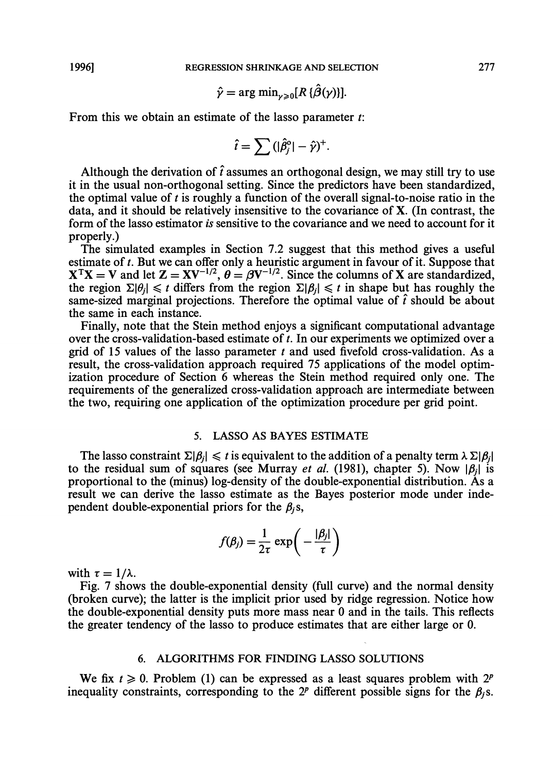$$
\hat{\gamma} = \arg \min_{\gamma \geq 0} [R \{ \hat{\beta}(\gamma) \}]
$$

From this we obtain an estimate of the lasso parameter  $t$ :

$$
\hat{t} = \sum (|\hat{\beta}_j^{\circ}| - \hat{\gamma})^+.
$$

Although the derivation of  $\hat{t}$  assumes an orthogonal design, we may still try to use it in the usual non-orthogonal setting. Since the predictors have been standardized, the optimal value of t is roughly a function of the overall signal-to-noise ratio in the data, and it should be relatively insensitive to the covariance of X. (In contrast, the form of the lasso estimator is sensitive to the covariance and we need to account for it properly.)

The simulated examples in Section *7.2* suggest that this method gives a useful estimate of t. But we can offer only a heuristic argument in favour of it. Suppose that  $X^{T}X = V$  and let  $Z = XV^{-1/2}$ ,  $\theta = \beta V^{-1/2}$ . Since the columns of X are standardized,  $X^T X = V$  and let  $Z = XV^{-1/2}$ ,  $\theta = \beta V^{-1/2}$ . Since the columns of X are standardized, the region  $\Sigma |\theta_j| \le t$  differs from the region  $\Sigma |\theta_j| \le t$  in shape but has roughly the same-sized marginal projections. Therefore the o the same in each instance.

Finally, note that the Stein method enjoys a significant computational advantage over the cross-validation-based estimate of  $t$ . In our experiments we optimized over a grid of 15 values of the lasso parameter  $t$  and used fivefold cross-validation. As a result, the cross-validation approach required *75* applications of the model optimization procedure of Section 6 whereas the Stein method required only one. The requirements of the generalized cross-validation approach are intermediate between the two, requiring one application of the optimization procedure per grid point.

#### **5. LASSO AS BAYES ESTIMATE**

The lasso constraint  $\Sigma|\beta_i| \leq t$  is equivalent to the addition of a penalty term  $\lambda \Sigma|\beta_i|$ to the residual sum of squares (see Murray *et al.* (1981), chapter 5). Now  $|\beta_i|$  is proportional to the (minus) log-density of the double-exponential distribution. As a result we can derive the lasso estimate as the Bayes posterior mode under independent double-exponential priors for the  $\beta_i$ s,

$$
f(\beta_j) = \frac{1}{2\tau} \exp\left(-\frac{|\beta_j|}{\tau}\right)
$$

with  $\tau = 1/\lambda$ .

Fig. *7* shows the double-exponential density (full curve) and the normal density (broken curve); the latter is the implicit prior used by ridge regression. Notice how the double-exponential density puts more mass near 0 and in the tails. This reflects the greater tendency of the lasso to produce estimates that are either large or 0.

# *6.* **ALGORITHMS FOR FINDING LASSO SOLUTIONS**

We fix  $t \ge 0$ . Problem (1) can be expressed as a least squares problem with  $2^p$ inequality constraints, corresponding to the  $2^p$  different possible signs for the  $\beta_i$ s.

277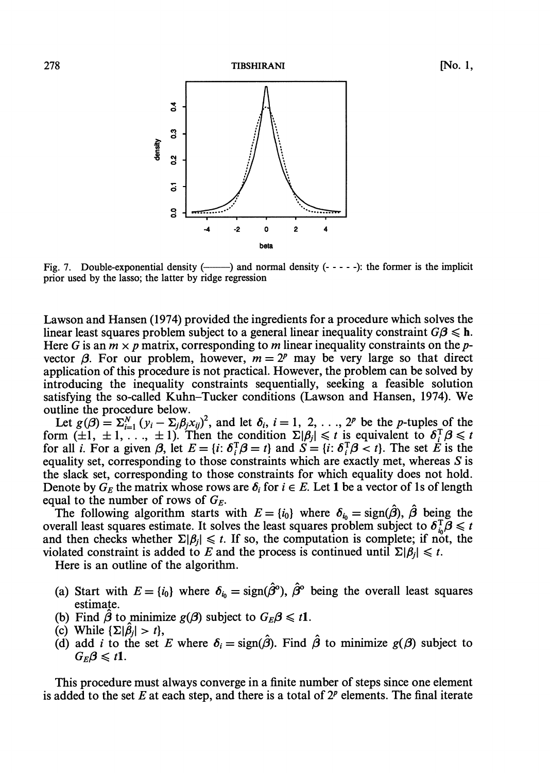[No. 1,



Fig. 7. Double-exponential density  $(-\rightarrow)$  and normal density  $(- - - -)$ : the former is the implicit prior used by the lasso; the latter by ridge regression

Lawson and Hansen (1974) provided the ingredients for a procedure which solves the linear least squares problem subject to a general linear inequality constraint  $G\beta \leq h$ . Here G is an  $m \times p$  matrix, corresponding to m linear inequality constraints on the pvector  $\beta$ . For our problem, however,  $m = 2^p$  may be very large so that direct application of this procedure is not practical. However, the problem can be solved by introducing the inequality constraints sequentially, seeking a feasible solution satisfying the so-called Kuhn-Tucker conditions (Lawson and Hansen, 1974). We outline the procedure below.

thine the procedure below.<br>Let  $g(\beta) = \sum_{i=1}^{N} (y_i - \sum_j \beta_j x_{ij})^2$ , and let  $\delta_i$ ,  $i = 1, 2, ..., 2^p$  be the p-tuples of the form  $(\pm 1, \pm 1, \ldots, \pm 1)$ . Then the condition  $\Sigma |\beta_j| \leq t$  is equivalent to  $\delta_i^T \beta \leq t$ for all *i*. For a given  $\beta$ , let  $E = \{i: \delta_i^T \beta = t\}$  and  $S = \{i: \delta_i^T \beta < t\}$ . The set *E* is the equality set, corresponding to those constraints which are exactly met, whereas *S* is the slack set, corresponding to those constraints for which equality does not hold. Denote by  $G_E$  the matrix whose rows are  $\delta_i$  for  $i \in E$ . Let 1 be a vector of 1s of length equal to the number of rows of  $G_E$ .

The following algorithm starts with  $E = \{i_0\}$  where  $\delta_{i_0} = \text{sign}(\hat{\beta})$ ,  $\hat{\beta}$  being the overall least squares estimate. It solves the least squares problem subject to  $\delta_{i_0}^T \beta \leq t$ and then checks whether  $\Sigma|\beta_i| \leq t$ . If so, the computation is complete; if not, the violated constraint is added to E and the process is continued until  $\Sigma|\beta_i| \leq t$ .

Here is an outline of the algorithm.

- (a) Start with  $E = \{i_0\}$  where  $\delta_{i_0} = \text{sign}(\hat{\beta}^0)$ ,  $\hat{\beta}^0$  being the overall least squares estimate.
- (b) Find  $\hat{\beta}$  to minimize  $g(\beta)$  subject to  $G_E\beta \leq t$ **1**.
- (c) While  $\{\Sigma|\hat{\beta}_i| > t\},\$
- (d) add *i* to the set E where  $\delta_i = \text{sign}(\hat{\beta})$ . Find  $\hat{\beta}$  to minimize  $g(\beta)$  subject to  $G_E\beta \leq t1$ .

This procedure must always converge in a finite number of steps since one element is added to the set E at each step, and there is a total of  $2^p$  elements. The final iterate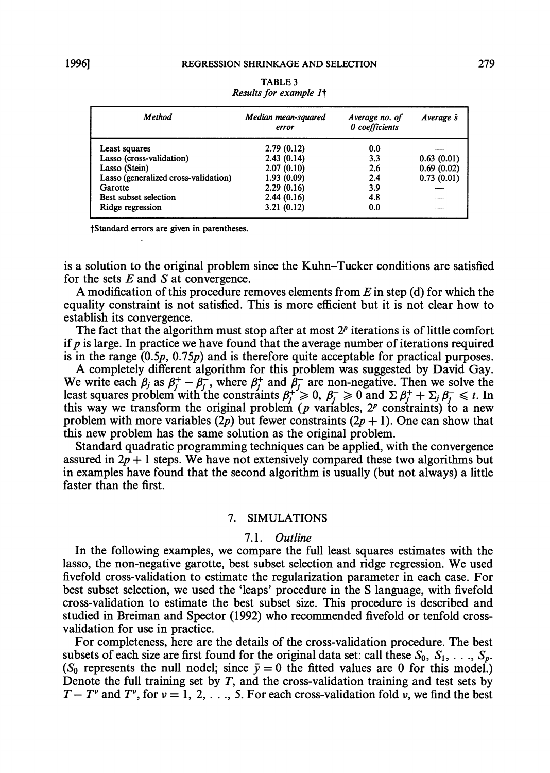| Method                               | Median mean-squared<br>error | Average no. of<br>0 coefficients | Average $\hat{s}$ |
|--------------------------------------|------------------------------|----------------------------------|-------------------|
| Least squares                        | 2.79(0.12)                   | 0.0                              |                   |
| Lasso (cross-validation)             | 2.43(0.14)                   | 3.3                              | 0.63(0.01)        |
| Lasso (Stein)                        | 2.07(0.10)                   | 2.6                              | 0.69(0.02)        |
| Lasso (generalized cross-validation) | 1.93(0.09)                   | 2.4                              | 0.73(0.01)        |
| Garotte                              | 2.29(0.16)                   | 3.9                              |                   |
| Best subset selection                | 2.44(0.16)                   | 4.8                              |                   |
| Ridge regression                     | 3.21(0.12)                   | 0.0                              |                   |

**TABLE 3** *Results* **for** *example It* 

**?Standard errors are given in parentheses.** 

is a solution to the original problem since the Kuhn-Tucker conditions are satisfied for the sets  $E$  and  $S$  at convergence.

**A** modification of this procedure removes elements from E in step (d) for which the equality constraint is not satisfied. This is more efficient but it is not clear how to establish its convergence.

The fact that the algorithm must stop after at most  $2<sup>p</sup>$  iterations is of little comfort if  $p$  is large. In practice we have found that the average number of iterations required is in the range  $(0.5p, 0.75p)$  and is therefore quite acceptable for practical purposes.

**A** completely different algorithm for this problem was suggested by David Gay. A completely different algorithm for this problem was suggested by David Gay.<br>We write each  $\beta_j$  as  $\beta_j^+ - \beta_j^-$ , where  $\beta_j^+$  and  $\beta_j^-$  are non-negative. Then we solve the least squares problem with the constraints  $\beta_j^+ \geq 0$ ,  $\beta_j^- \geq 0$  and  $\Sigma \beta_j^+ + \Sigma_j \beta_j^- \leq t$ . In this way we transform the original problem (p variables,  $2^p$  constraints) to a new problem with more variables (2p) but fewer constraints (2p + 1). One can show that this new problem has the same solution as the original problem.

Standard quadratic programming techniques can be applied, with the convergence assured in  $2p + 1$  steps. We have not extensively compared these two algorithms but in examples have found that the second algorithm is usually (but not always) a little faster than the first.

#### **7. SIMULATIONS**

#### 7.1. Outline

In the following examples, we compare the full least squares estimates with the lasso, the non-negative garotte, best subset selection and ridge regression. We used fivefold cross-validation to estimate the regularization parameter in each case. For best subset selection, we used the 'leaps' procedure in the S language, with fivefold cross-validation to estimate the best subset size. This procedure is described and studied in Breiman and Spector (1992) who recommended fivefold or tenfold crossvalidation for use in practice.

For completeness, here are the details of the cross-validation procedure. The best subsets of each size are first found for the original data set: call these  $S_0, S_1, \ldots, S_n$ . (S<sub>0</sub> represents the null nodel; since  $\bar{y} = 0$  the fitted values are 0 for this model.) Denote the full training set by  $T$ , and the cross-validation training and test sets by  $T-T^{\nu}$  and  $T^{\nu}$ , for  $\nu = 1, 2, \ldots, 5$ . For each cross-validation fold  $\nu$ , we find the best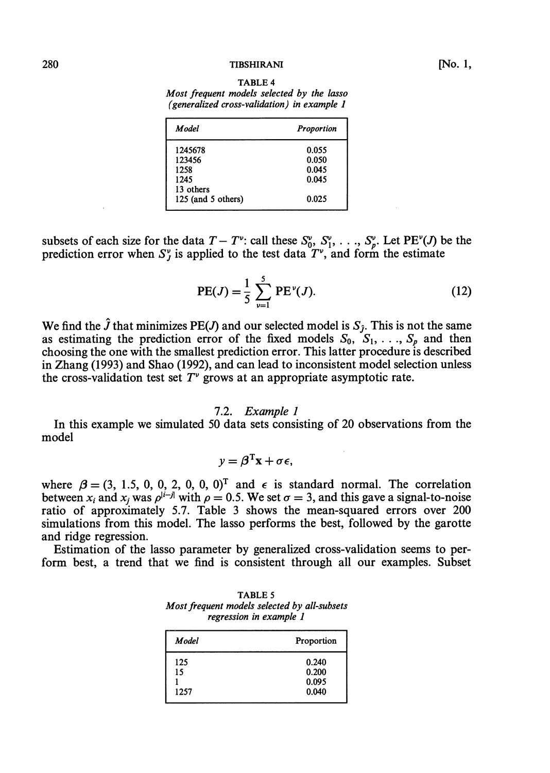#### **TIBSHIRANI**

*Most frequent models selected by the lasso (generalized cross-validation) in example I* 

| Proportion |  |  |
|------------|--|--|
| 0.055      |  |  |
| 0.050      |  |  |
| 0.045      |  |  |
| 0.045      |  |  |
|            |  |  |
| 0.025      |  |  |
|            |  |  |

subsets of each size for the data  $T - T^{\nu}$ : call these  $S_0^{\nu}, S_1^{\nu}, \ldots, S_{\nu}^{\nu}$ . Let PE<sup>v</sup>(*J*) be the prediction error when  $S_{J}^{\nu}$  is applied to the test data  $T^{\nu}$ , and form the estimate

PE(*J*) = 
$$
\frac{1}{5} \sum_{\nu=1}^{5} PE^{\nu}(J)
$$
. (12)

We find the  $\hat{J}$  that minimizes PE(*J*) and our selected model is  $S_{\hat{J}}$ . This is not the same as estimating the prediction error of the fixed models  $S_0$ ,  $S_1$ , ...,  $S_p$  and then choosing the one with the smallest prediction error. This latter procedure is described in Zhang (1993) and Shao (1992), and can lead to inconsistent model selection unless the cross-validation test set  $T^{\nu}$  grows at an appropriate asymptotic rate.

#### 7.2. **Example** 1

In this example we simulated 50 data sets consisting of 20 observations from the model

$$
y = \boldsymbol{\beta}^{\mathrm{T}} \mathbf{x} + \sigma \boldsymbol{\epsilon},
$$

where  $\beta = (3, 1.5, 0, 0, 2, 0, 0, 0)^T$  and  $\epsilon$  is standard normal. The correlation between  $x_i$  and  $x_j$  was  $\rho^{i-j}$  with  $\rho = 0.5$ . We set  $\sigma = 3$ , and this gave a signal-to-noise ratio of approximately 5.7. Table **3** shows the mean-squared errors over 200 simulations from this model. The lasso performs the best, followed by the garotte and ridge regression.

Estimation of the lasso parameter by generalized cross-validation seems to perform best, a trend that we find is consistent through all our examples. Subset

| <b>TABLE 5</b>                               |  |  |  |  |  |
|----------------------------------------------|--|--|--|--|--|
| Most frequent models selected by all-subsets |  |  |  |  |  |
| regression in example 1                      |  |  |  |  |  |

| Model             | Proportion                       |
|-------------------|----------------------------------|
| 125<br>15<br>1257 | 0.240<br>0.200<br>0.095<br>0.040 |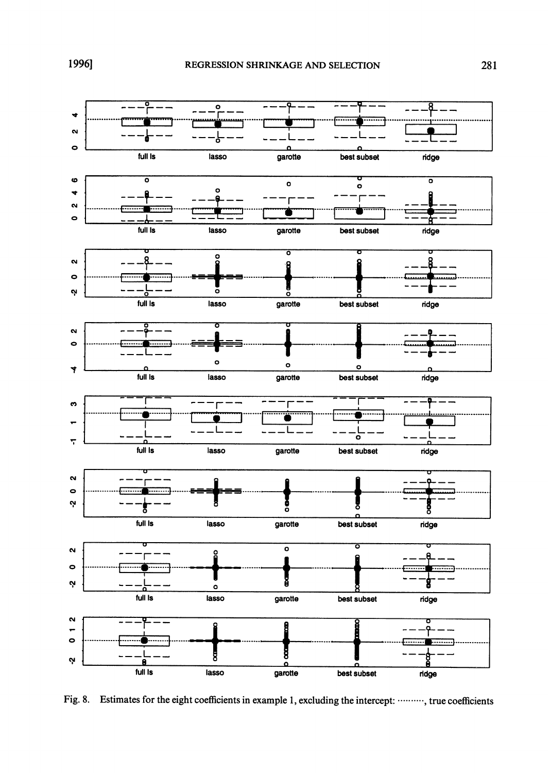

Fig. 8. Estimates for the eight coefficients in example 1, excluding the intercept: ........., true coefficients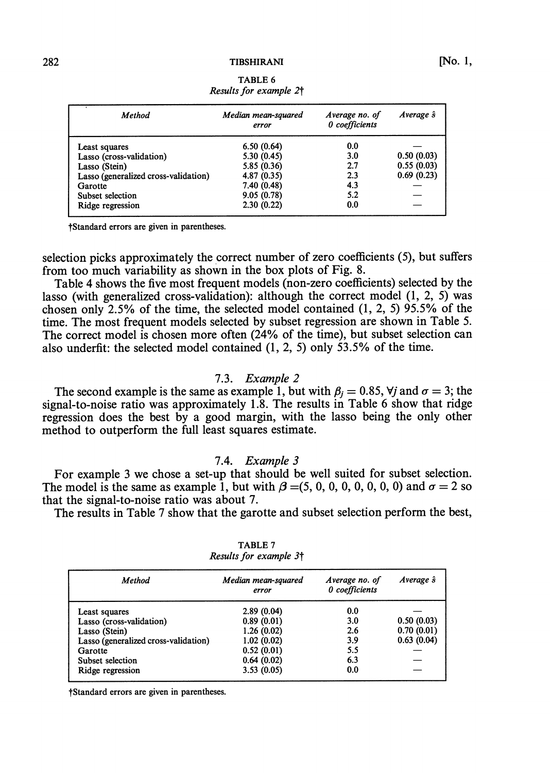TIBSHIRANI

| $\epsilon$<br><b>Method</b>          | Median mean-squared<br>error | Average no. of<br>0 coefficients | Average $\hat{s}$ |
|--------------------------------------|------------------------------|----------------------------------|-------------------|
| Least squares                        | 6.50(0.64)                   | 0.0                              |                   |
| Lasso (cross-validation)             | 5.30(0.45)                   | 3.0                              | 0.50(0.03)        |
| Lasso (Stein)                        | 5.85 (0.36)                  | 2.7                              | 0.55(0.03)        |
| Lasso (generalized cross-validation) | 4.87(0.35)                   | 2.3                              | 0.69(0.23)        |
| Garotte                              | 7.40 (0.48)                  | 4.3                              |                   |
| Subset selection                     | 9.05(0.78)                   | 5.2                              |                   |
| Ridge regression                     | 2.30(0.22)                   | 0.0                              |                   |
|                                      |                              |                                  |                   |

TABLE 6 *Results* **for** *example 2-f* 

?Standard errors are given in parentheses.

selection picks approximately the correct number of zero coefficients (5), but suffers from too much variability as shown in the box plots of Fig. 8.

Table 4 shows the five most frequent models (non-zero coefficients) selected by the lasso (with generalized cross-validation): although the correct model (1, 2, 5) was chosen only 2.5% of the time, the selected model contained (1, 2, 5) 95.5% of the time. The most frequent models selected by subset regression are shown in Table 5. The correct model is chosen more often (24% of the time), but subset selection can also underfit: the selected model contained (1, 2, 5) only 53.5% of the time.

#### 7.3. *Example* 2

The second example is the same as example 1, but with  $\beta_i = 0.85$ ,  $\forall j$  and  $\sigma = 3$ ; the signal-to-noise ratio was approximately 1.8. The results in Table 6 show that ridge regression does the best by a good margin, with the lasso being the only other method to outperform the full least squares estimate.

#### 7.4. *Example* 3

For example 3 we chose a set-up that should be well suited for subset selection. The model is the same as example 1, but with  $\beta = (5, 0, 0, 0, 0, 0, 0, 0)$  and  $\sigma = 2$  so that the signal-to-noise ratio was about 7.

The results in Table 7 show that the garotte and subset selection perform the best,

| Method                               | Median mean-squared<br>error | Average no. of<br>0 coefficients | Average $\hat{s}$ |
|--------------------------------------|------------------------------|----------------------------------|-------------------|
| Least squares                        | 2.89(0.04)                   | 0.0                              |                   |
| Lasso (cross-validation)             | 0.89(0.01)                   | 3.0                              | 0.50(0.03)        |
| Lasso (Stein)                        | 1.26(0.02)                   | 2.6                              | 0.70(0.01)        |
| Lasso (generalized cross-validation) | 1.02(0.02)                   | 3.9                              | 0.63(0.04)        |
| Garotte                              | 0.52(0.01)                   | 5.5                              |                   |
| Subset selection                     | 0.64(0.02)                   | 6.3                              |                   |
| Ridge regression                     | 3.53(0.05)                   | 0.0                              |                   |

TABLE 7 *Results* **for** *example* **3-f** 

?Standard errors are given in parentheses.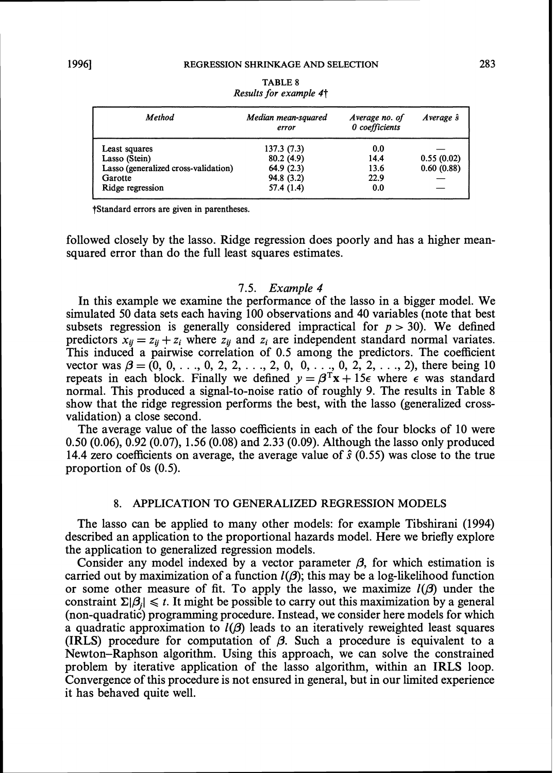| <b>Method</b>                        | Median mean-squared<br>error | Average no. of<br>0 coefficients | Average s  |
|--------------------------------------|------------------------------|----------------------------------|------------|
| Least squares                        | 137.3(7.3)                   | 0.0                              |            |
| Lasso (Stein)                        | 80.2(4.9)                    | 14.4                             | 0.55(0.02) |
| Lasso (generalized cross-validation) | 64.9(2.3)                    | 13.6                             | 0.60(0.88) |
| Garotte                              | 94.8 (3.2)                   | 22.9                             |            |
| Ridge regression                     | 57.4(1.4)                    | 0.0                              |            |

**TABLE 8** *Results* **for** *example 4-f* 

**?Standard errors are given in parentheses.** 

followed closely by the lasso. Ridge regression does poorly and has a higher meansquared error than do the full least squares estimates.

#### 7.5. Example 4

In this example we examine the performance of the lasso in a bigger model. We simulated 50 data sets each having 100 observations and 40 variables (note that best subsets regression is generally considered impractical for  $p > 30$ . We defined predictors  $x_{ii} = z_{ii} + z_i$  where  $z_{ii}$  and  $z_i$  are independent standard normal variates. This induced a pairwise correlation of 0.5 among the predictors. The coefficient vector was  $\beta = (0, 0, \ldots, 0, 2, 2, \ldots, 2, 0, 0, \ldots, 0, 2, 2, \ldots, 2)$ , there being 10 repeats in each block. Finally we defined  $y = \beta^{T}x + 15\epsilon$  where  $\epsilon$  was standard normal. This produced a signal-to-noise ratio of roughly 9. The results in Table 8 show that the ridge regression performs the best, with the lasso (generalized crossvalidation) a close second.

The average value of the lasso coefficients in each of the four blocks of 10 were 0.50 (0.06), 0.92 (0.07), 1.56 (0.08) and 2.33 (0.09). Although the lasso only produced 14.4 zero coefficients on average, the average value of **3** (0.55) was close to the true proportion of 0s (0.5).

# **8. APPLICATION TO GENERALIZED REGRESSION MODELS**

The lasso can be applied to many other models: for example Tibshirani (1994) described an application to the proportional hazards model. Here we briefly explore the application to generalized regression models.

Consider any model indexed by a vector parameter  $\beta$ , for which estimation is carried out by maximization of a function  $I(\beta)$ ; this may be a log-likelihood function or some other measure of fit. To apply the lasso, we maximize  $l(\beta)$  under the constraint  $\Sigma |\beta_i| \leq t$ . It might be possible to carry out this maximization by a general (non-quadratic) programming procedure. Instead, we consider here models for which a quadratic approximation to  $l(\beta)$  leads to an iteratively reweighted least squares (IRLS) procedure for computation of **P.** Such a procedure is equivalent to a Newton-Raphson algorithm. Using this approach, we can solve the constrained problem by iterative application of the lasso algorithm, within an IRLS loop. Convergence of this procedure is not ensured in general, but in our limited experience it has behaved quite well.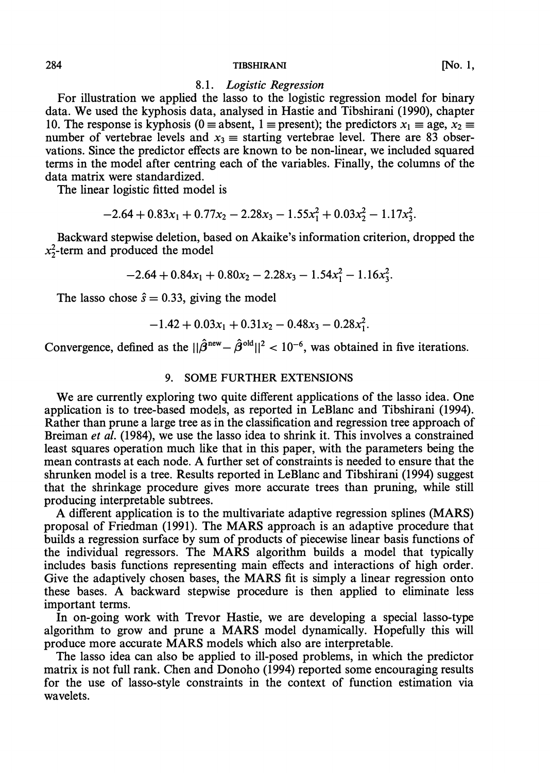#### 8.1. *Logistic Regression*

For illustration we applied the lasso to the logistic regression model for binary data. We used the kyphosis data, analysed in Hastie and Tibshirani (1990), chapter 10. The response is kyphosis (0 = absent, 1 = present); the predictors  $x_1 \equiv$  age,  $x_2 \equiv$ number of vertebrae levels and  $x_3 \equiv$  starting vertebrae level. There are 83 observations. Since the predictor effects are known to be non-linear, we included squared terms in the model after centring each of the variables. Finally, the columns of the data matrix were standardized.

The linear logistic fitted model is

$$
-2.64 + 0.83x_1 + 0.77x_2 - 2.28x_3 - 1.55x_1^2 + 0.03x_2^2 - 1.17x_3^2.
$$

Backward stepwise deletion, based on Akaike's information criterion, dropped the  $x_2^2$ -term and produced the model

$$
-2.64 + 0.84x_1 + 0.80x_2 - 2.28x_3 - 1.54x_1^2 - 1.16x_3^2.
$$

The lasso chose  $\hat{s} = 0.33$ , giving the model

$$
-1.42 + 0.03x_1 + 0.31x_2 - 0.48x_3 - 0.28x_1^2.
$$

Convergence, defined as the  $||\hat{\beta}^{new} - \hat{\beta}^{old}||^2 < 10^{-6}$ , was obtained in five iterations.

# **9. SOME FURTHER EXTENSIONS**

We are currently exploring two quite different applications of the lasso idea. One application is to tree-based models, as reported in LeBlanc and Tibshirani (1994). Rather than prune a large tree as in the classification and regression tree approach of Breiman *et* al. (1984), we use the lasso idea to shrink it. This involves a constrained least squares operation much like that in this paper, with the parameters being the mean contrasts at each node. A further set of constraints is needed to ensure that the shrunken model is a tree. Results reported in LeBlanc and Tibshirani (1994) suggest that the shrinkage procedure gives more accurate trees than pruning, while still producing interpretable subtrees.

A different application is to the multivariate adaptive regression splines (MARS) proposal of Friedman (1991). The MARS approach is an adaptive procedure that builds a regression surface by sum of products of piecewise linear basis functions of the individual regressors. The MARS algorithm builds a model that typically includes basis functions representing main effects and interactions of high order. Give the adaptively chosen bases, the MARS fit is simply a linear regression onto these bases. A backward stepwise procedure is then applied to eliminate less important terms.

In on-going work with Trevor Hastie, we are developing a special lasso-type algorithm to grow and prune a MARS model dynamically. Hopefully this will produce more accurate MARS models which also are interpretable.

The lasso idea can also be applied to ill-posed problems, in which the predictor matrix is not full rank. Chen and Donoho (1994) reported some encouraging results for the use of lasso-style constraints in the context of function estimation via wavelets.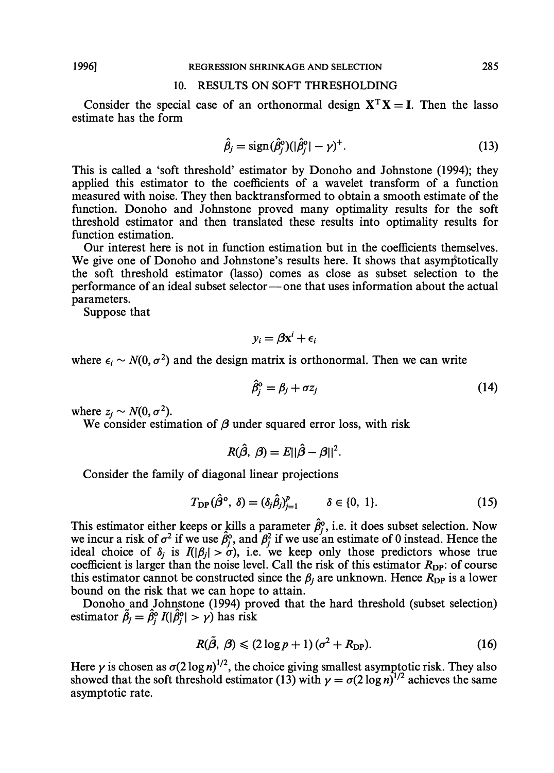# **10. RESULTS ON SOFT THRESHOLDING**

Consider the special case of an orthonormal design  $X<sup>T</sup>X = I$ . Then the lasso estimate has the form

$$
\hat{\beta}_j = \text{sign}(\hat{\beta}_j^{\circ}) (|\hat{\beta}_j^{\circ}| - \gamma)^+.
$$
\n(13)

This is called a 'soft threshold' estimator by Donoho and Johnstone (1994); they applied this estimator to the coefficients of a wavelet transform of a function measured with noise. They then backtransformed to obtain a smooth estimate of the function. Donoho and Johnstone proved many optimality results for the soft threshold estimator and then translated these results into optimality results for function estimation.

Our interest here is not in function estimation but in the coefficients themselves. We give one of Donoho and Johnstone's results here. It shows that asymptotically the soft threshold estimator (lasso) comes as close as subset selection to the performance of an ideal subset selector- one that uses information about the actual parameters.

Suppose that

$$
y_i = \beta \mathbf{x}^i + \epsilon_i
$$

where  $\epsilon_i \sim N(0, \sigma^2)$  and the design matrix is orthonormal. Then we can write

$$
\hat{\beta}_j^{\rm o} = \beta_j + \sigma z_j \tag{14}
$$

where  $z_i \sim N(0, \sigma^2)$ .

We consider estimation of  $\beta$  under squared error loss, with risk

$$
R(\hat{\beta}, \beta) = E||\hat{\beta} - \beta||^2.
$$

Consider the family of diagonal linear projections

$$
T_{\text{DP}}(\hat{\beta}^{\text{o}}, \delta) = (\delta_j \hat{\beta}_j)_{j=1}^p \qquad \delta \in \{0, 1\}.
$$
 (15)

This estimator either keeps or kills a parameter  $\hat{\beta}_j^{\circ}$ , i.e. it does subset selection. Now This estimator either keeps of kins a parameter  $p_j$ , i.e. it does subset selection. Now<br>we incur a risk of  $\sigma^2$  if we use  $\hat{\beta}_j^0$ , and  $\beta_j^2$  if we use an estimate of 0 instead. Hence the ideal choice of  $\delta_j$  is  $I(|\beta_j| > \sigma)$ , i.e. we keep only those predictors whose true coefficient is larger than the noise level. Call the risk of this estimator  $R_{\text{DP}}$ : of course this estimator cannot be constructed since the  $\beta_i$  are unknown. Hence  $R_{\text{DP}}$  is a lower bound on the risk that we can hope to attain.

Donoho and Johnstone (1994) proved that the hard threshold (subset selection) estimator  $\tilde{\beta}_j = \hat{\beta}_i^{\circ} I(|\hat{\beta}_j^{\circ}| > \gamma)$  has risk

$$
R(\tilde{\beta}, \beta) \leq (2 \log p + 1) (\sigma^2 + R_{\text{DP}}). \tag{16}
$$

Here  $\gamma$  is chosen as  $\sigma(2 \log n)^{1/2}$ , the choice giving smallest asymptotic risk. They also showed that the soft threshold estimator (13) with  $\gamma = \sigma(2 \log n)^{1/2}$  achieves the same asymptotic rate.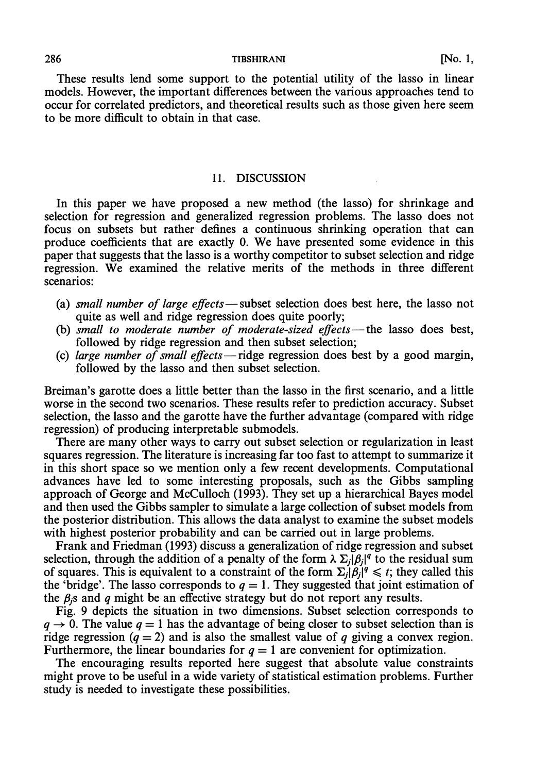These results lend some support to the potential utility of the lasso in linear models. However, the important differences between the various approaches tend to occur for correlated predictors, and theoretical results such as those given here seem to be more difficult to obtain in that case.

# 11. DISCUSSION

In this paper we have proposed a new method (the lasso) for shrinkage and selection for regression and generalized regression problems. The lasso does not focus on subsets but rather defines a continuous shrinking operation that can produce coefficients that are exactly 0. We have presented some evidence in this paper that suggests that the lasso is a worthy competitor to subset selection and ridge regression. We examined the relative merits of the methods in three different scenarios:

- (a) small number of large  $effects$  -subset selection does best here, the lasso not quite as well and ridge regression does quite poorly;
- (b) small to moderate number of moderate-sized effects-the lasso does best, followed by ridge regression and then subset selection;
- (c) large number of small effects-ridge regression does best by a good margin, followed by the lasso and then subset selection.

Breiman's garotte does a little better than the lasso in the first scenario, and a little worse in the second two scenarios. These results refer to prediction accuracy. Subset selection, the lasso and the garotte have the further advantage (compared with ridge regression) of producing interpretable submodels.

There are many other ways to carry out subset selection or regularization in least squares regression. The literature is increasing far too fast to attempt to summarize it in this short space so we mention only a few recent developments. Computational advances have led to some interesting proposals, such as the Gibbs sampling approach of George and McCulloch (1993). They set up a hierarchical Bayes model and then used the Gibbs sampler to simulate a large collection of subset models from the posterior distribution. This allows the data analyst to examine the subset models with highest posterior probability and can be carried out in large problems.

Frank and Friedman (1993) discuss a generalization of ridge regression and subset selection, through the addition of a penalty of the form  $\lambda \Sigma_i |\beta_i|^q$  to the residual sum of squares. This is equivalent to a constraint of the form  $\Sigma_i |\beta_i|^q \le t$ ; they called this the 'bridge'. The lasso corresponds to  $q = 1$ . They suggested that joint estimation of the  $\beta_i$ s and q might be an effective strategy but do not report any results.

Fig. 9 depicts the situation in two dimensions. Subset selection corresponds to  $q \rightarrow 0$ . The value  $q = 1$  has the advantage of being closer to subset selection than is ridge regression  $(q = 2)$  and is also the smallest value of q giving a convex region. Furthermore, the linear boundaries for  $q = 1$  are convenient for optimization.

The encouraging results reported here suggest that absolute value constraints might prove to be useful in a wide variety of statistical estimation problems. Further study is needed to investigate these possibilities.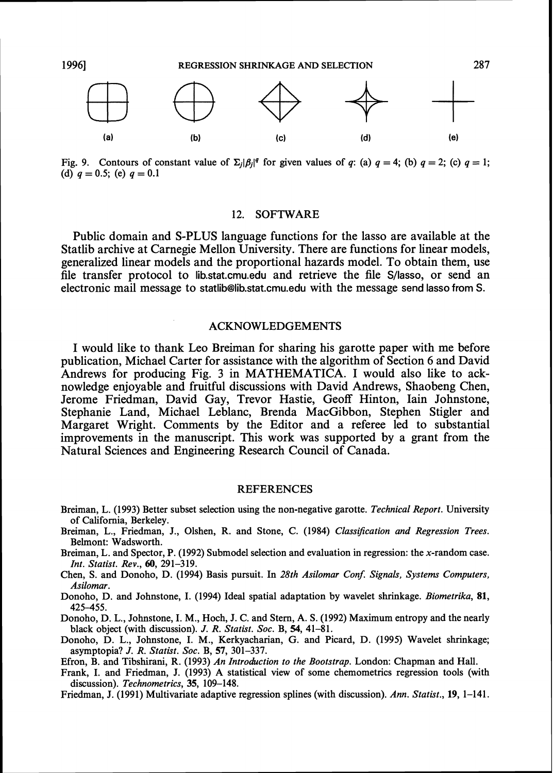

Fig. 9. Contours of constant value of  $\Sigma_i|\beta_i|^q$  for given values of q: (a)  $q = 4$ ; (b)  $q = 2$ ; (c)  $q = 1$ ; (d)  $q = 0.5$ ; (e)  $q = 0.1$ 

# **12. SOFTWARE**

Public domain and S-PLUS language functions for the lasso are available at the Statlib archive at Carnegie Mellon University. There are functions for linear models, generalized linear models and the proportional hazards model. To obtain them, use file transfer protocol to lib.stat.cmu.edu and retrieve the file S/lasso, or send an electronic mail message to statlib@lib.stat.cmu.edu with the message send lasso from S.

# **ACKNOWLEDGEMENTS**

I would like to thank Leo Breiman for sharing his garotte paper with me before publication, Michael Carter for assistance with the algorithm of Section 6 and David Andrews for producing Fig. **3** in MATHEMATICA. I would also like to acknowledge enjoyable and fruitful discussions with David Andrews, Shaobeng Chen, Jerome Friedman, David Gay, Trevor Hastie, Geoff Hinton, Iain Johnstone, Stephanie Land, Michael Leblanc, Brenda MacGibbon, Stephen Stigler and Margaret Wright. Comments by the Editor and a referee led to substantial improvements in the manuscript. This work was supported by a grant from the Natural Sciences and Engineering Research Council of Canada.

#### **REFERENCES**

- Breiman, L. (1993) Better subset selection using the nonnegative garotte. *Technical Report.* University of California, Berkeley.
- Breiman, L., Friedman, J., Olshen, R. and Stone, C. (1984) *Classification and Regression Trees.*  Belmont: Wadsworth.
- Breiman, L, and Spector, P. (1992) Submodel selection and evaluation in regression: the x-random case. *Znt. Statist. Rev., 60,* 291-319.

Chen, S. and Donoho, D. (1994) Basis pursuit. In 28th Asilomar Conf. Signals, Systems Computers, *Asilomar.* 

Donoho, D. and Johnstone, I. (1994) Ideal spatial adaptation by wavelet shrinkage. *Biometrika,* 81, 425455.

Donoho, D. L., Johnstone, I. M., Hoch, J. C. and Stern, **A.** S. (1992) Maximum entropy and the nearly black object (with discussion). J. *R. Statist. Soc.* B, *54,* 41-81.

- Donoho, D. L., Johnstone, I. M., Kerkyacharian, *G.* and Picard, D. (1995) Wavelet shrinkage; asymptopia? *J. R. Statist. Soc.* B, *57,* 301-337.
- Efron, B. and Tibshirani, R. (1993) *An Introduction to the Bootstrap.* London: Chapman and Hall.
- Frank, I. and Friedman, J. (1993) **A** statistical view of some chemometrics regression tools (with discussion). *Technometrics,* 35, 109-148.
- Friedman, J. (1991) Multivariate adaptive regression splines (with discussion). *Ann. Statist., 19,* 1-141.